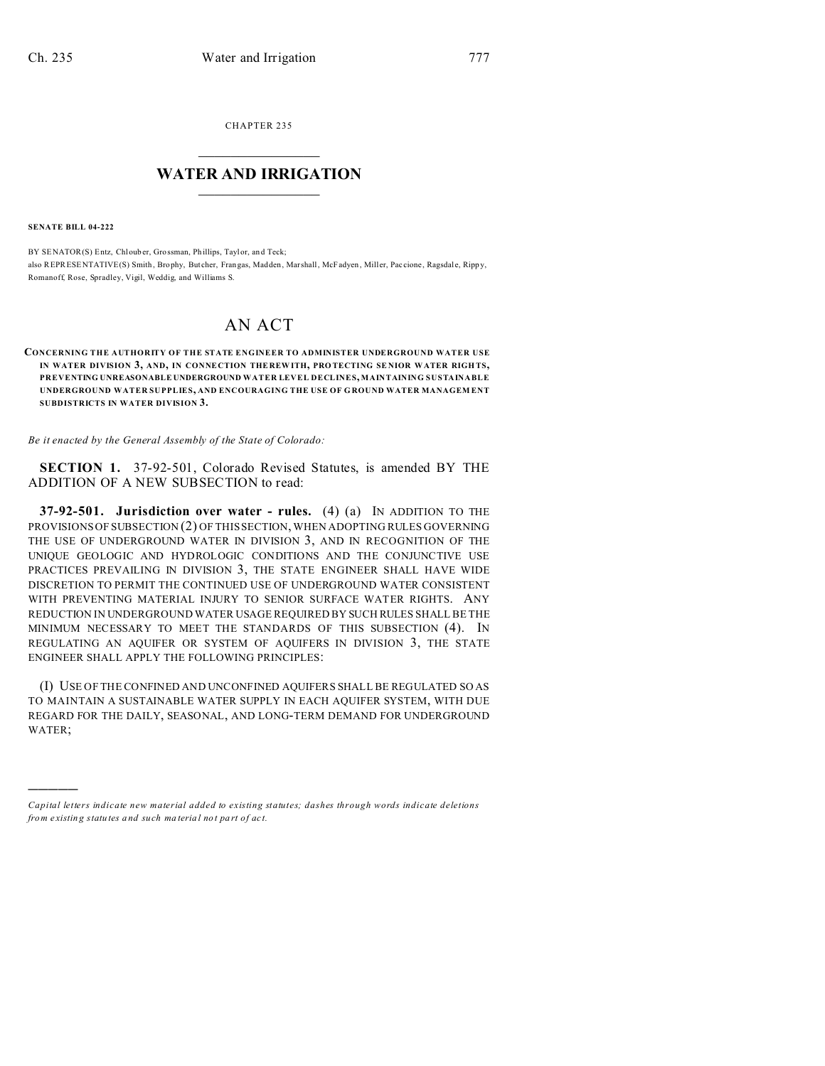CHAPTER 235  $\overline{\phantom{a}}$  , where  $\overline{\phantom{a}}$ 

## **WATER AND IRRIGATION**  $\_$   $\_$   $\_$   $\_$   $\_$   $\_$   $\_$   $\_$   $\_$

**SENATE BILL 04-222**

)))))

BY SENATOR(S) Entz, Chlouber, Grossman, Phillips, Taylor, and Teck; also REPRESENTATIVE(S) Smith , Brophy, But cher, Frangas, Madden, Marshall, McFadyen , Miller, Paccione , Ragsdale, Ripp y, Romanoff, Rose, Spradley, Vigil, Weddig, and Williams S.

## AN ACT

**CONCERNING THE AUTHORITY OF THE STATE ENGINEER TO ADMINISTER UNDERGROUND WATER USE IN WATER DIVISION 3, AND, IN CONNECTION THE REW ITH, PRO TECTING SE NIOR WATER RIGH TS, PREVENTING UNREASONABLE UNDERGROUND WATER LEVEL DECLINES, MAINTAINING SUSTAINABLE UNDERGROUND WATER SUPPLIES, AND ENCOURAGING THE USE OF G ROUND WATER MANAGEM ENT SUBDISTRICTS IN WATER DIVISION 3.**

*Be it enacted by the General Assembly of the State of Colorado:*

**SECTION 1.** 37-92-501, Colorado Revised Statutes, is amended BY THE ADDITION OF A NEW SUBSECTION to read:

**37-92-501. Jurisdiction over water - rules.** (4) (a) IN ADDITION TO THE PROVISIONS OF SUBSECTION (2) OF THIS SECTION, WHEN ADOPTING RULES GOVERNING THE USE OF UNDERGROUND WATER IN DIVISION 3, AND IN RECOGNITION OF THE UNIQUE GEOLOGIC AND HYDROLOGIC CONDITIONS AND THE CONJUNCTIVE USE PRACTICES PREVAILING IN DIVISION 3, THE STATE ENGINEER SHALL HAVE WIDE DISCRETION TO PERMIT THE CONTINUED USE OF UNDERGROUND WATER CONSISTENT WITH PREVENTING MATERIAL INJURY TO SENIOR SURFACE WATER RIGHTS. ANY REDUCTION IN UNDERGROUND WATER USAGE REQUIRED BY SUCH RULES SHALL BE THE MINIMUM NECESSARY TO MEET THE STANDARDS OF THIS SUBSECTION (4). IN REGULATING AN AQUIFER OR SYSTEM OF AQUIFERS IN DIVISION 3, THE STATE ENGINEER SHALL APPLY THE FOLLOWING PRINCIPLES:

(I) USE OF THE CONFINED AND UNCONFINED AQUIFERS SHALL BE REGULATED SO AS TO MAINTAIN A SUSTAINABLE WATER SUPPLY IN EACH AQUIFER SYSTEM, WITH DUE REGARD FOR THE DAILY, SEASONAL, AND LONG-TERM DEMAND FOR UNDERGROUND WATER;

*Capital letters indicate new material added to existing statutes; dashes through words indicate deletions from e xistin g statu tes a nd such ma teria l no t pa rt of ac t.*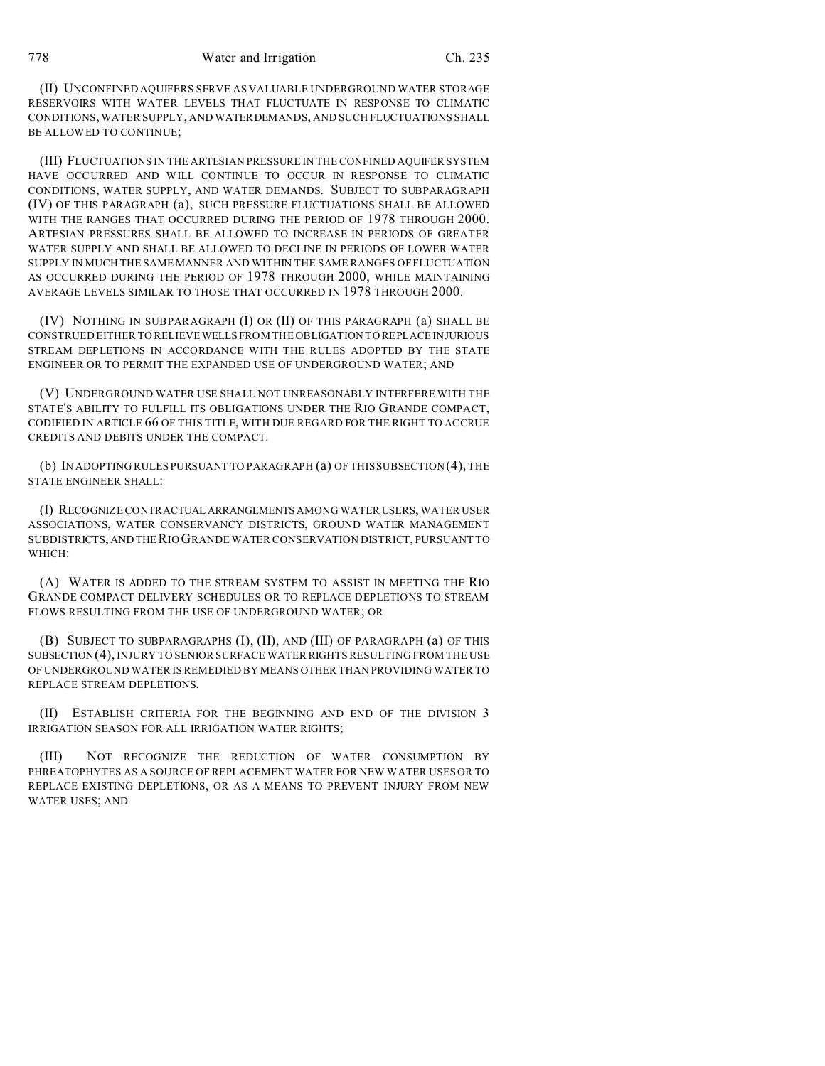(II) UNCONFINED AQUIFERS SERVE AS VALUABLE UNDERGROUND WATER STORAGE RESERVOIRS WITH WATER LEVELS THAT FLUCTUATE IN RESPONSE TO CLIMATIC CONDITIONS, WATER SUPPLY, AND WATERDEMANDS, AND SUCH FLUCTUATIONS SHALL BE ALLOWED TO CONTINUE;

(III) FLUCTUATIONS IN THE ARTESIAN PRESSURE IN THE CONFINED AQUIFER SYSTEM HAVE OCCURRED AND WILL CONTINUE TO OCCUR IN RESPONSE TO CLIMATIC CONDITIONS, WATER SUPPLY, AND WATER DEMANDS. SUBJECT TO SUBPARAGRAPH (IV) OF THIS PARAGRAPH (a), SUCH PRESSURE FLUCTUATIONS SHALL BE ALLOWED WITH THE RANGES THAT OCCURRED DURING THE PERIOD OF 1978 THROUGH 2000. ARTESIAN PRESSURES SHALL BE ALLOWED TO INCREASE IN PERIODS OF GREATER WATER SUPPLY AND SHALL BE ALLOWED TO DECLINE IN PERIODS OF LOWER WATER SUPPLY IN MUCH THE SAME MANNER AND WITHIN THE SAME RANGES OF FLUCTUATION AS OCCURRED DURING THE PERIOD OF 1978 THROUGH 2000, WHILE MAINTAINING AVERAGE LEVELS SIMILAR TO THOSE THAT OCCURRED IN 1978 THROUGH 2000.

(IV) NOTHING IN SUBPARAGRAPH (I) OR (II) OF THIS PARAGRAPH (a) SHALL BE CONSTRUED EITHER TO RELIEVE WELLS FROM THE OBLIGATION TO REPLACE INJURIOUS STREAM DEPLETIONS IN ACCORDANCE WITH THE RULES ADOPTED BY THE STATE ENGINEER OR TO PERMIT THE EXPANDED USE OF UNDERGROUND WATER; AND

(V) UNDERGROUND WATER USE SHALL NOT UNREASONABLY INTERFERE WITH THE STATE'S ABILITY TO FULFILL ITS OBLIGATIONS UNDER THE RIO GRANDE COMPACT, CODIFIED IN ARTICLE 66 OF THIS TITLE, WITH DUE REGARD FOR THE RIGHT TO ACCRUE CREDITS AND DEBITS UNDER THE COMPACT.

(b) IN ADOPTING RULES PURSUANT TO PARAGRAPH (a) OF THIS SUBSECTION (4), THE STATE ENGINEER SHALL:

(I) RECOGNIZE CONTRACTUAL ARRANGEMENTS AMONG WATER USERS, WATER USER ASSOCIATIONS, WATER CONSERVANCY DISTRICTS, GROUND WATER MANAGEMENT SUBDISTRICTS, AND THE RIO GRANDE WATER CONSERVATION DISTRICT, PURSUANT TO WHICH:

(A) WATER IS ADDED TO THE STREAM SYSTEM TO ASSIST IN MEETING THE RIO GRANDE COMPACT DELIVERY SCHEDULES OR TO REPLACE DEPLETIONS TO STREAM FLOWS RESULTING FROM THE USE OF UNDERGROUND WATER; OR

(B) SUBJECT TO SUBPARAGRAPHS (I), (II), AND (III) OF PARAGRAPH (a) OF THIS SUBSECTION(4), INJURY TO SENIOR SURFACE WATER RIGHTS RESULTING FROM THE USE OF UNDERGROUND WATER IS REMEDIED BY MEANS OTHER THAN PROVIDING WATER TO REPLACE STREAM DEPLETIONS.

(II) ESTABLISH CRITERIA FOR THE BEGINNING AND END OF THE DIVISION 3 IRRIGATION SEASON FOR ALL IRRIGATION WATER RIGHTS;

(III) NOT RECOGNIZE THE REDUCTION OF WATER CONSUMPTION BY PHREATOPHYTES AS A SOURCE OF REPLACEMENT WATER FOR NEW WATER USES OR TO REPLACE EXISTING DEPLETIONS, OR AS A MEANS TO PREVENT INJURY FROM NEW WATER USES; AND